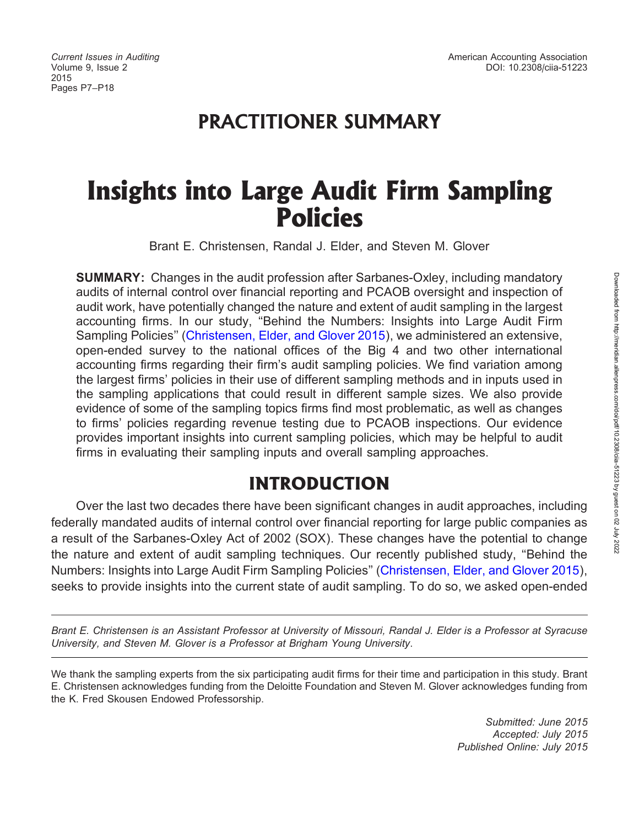# PRACTITIONER SUMMARY

# Insights into Large Audit Firm Sampling Policies

Brant E. Christensen, Randal J. Elder, and Steven M. Glover

SUMMARY: Changes in the audit profession after Sarbanes-Oxley, including mandatory audits of internal control over financial reporting and PCAOB oversight and inspection of audit work, have potentially changed the nature and extent of audit sampling in the largest accounting firms. In our study, ''Behind the Numbers: Insights into Large Audit Firm Sampling Policies'' [\(Christensen, Elder, and Glover 2015](#page-11-0)), we administered an extensive, open-ended survey to the national offices of the Big 4 and two other international accounting firms regarding their firm's audit sampling policies. We find variation among the largest firms' policies in their use of different sampling methods and in inputs used in the sampling applications that could result in different sample sizes. We also provide evidence of some of the sampling topics firms find most problematic, as well as changes to firms' policies regarding revenue testing due to PCAOB inspections. Our evidence provides important insights into current sampling policies, which may be helpful to audit firms in evaluating their sampling inputs and overall sampling approaches.

## INTRODUCTION

Over the last two decades there have been significant changes in audit approaches, including federally mandated audits of internal control over financial reporting for large public companies as a result of the Sarbanes-Oxley Act of 2002 (SOX). These changes have the potential to change the nature and extent of audit sampling techniques. Our recently published study, ''Behind the Numbers: Insights into Large Audit Firm Sampling Policies'' [\(Christensen, Elder, and Glover 2015](#page-11-0)), seeks to provide insights into the current state of audit sampling. To do so, we asked open-ended

Brant E. Christensen is an Assistant Professor at University of Missouri, Randal J. Elder is a Professor at Syracuse University, and Steven M. Glover is a Professor at Brigham Young University.

We thank the sampling experts from the six participating audit firms for their time and participation in this study. Brant E. Christensen acknowledges funding from the Deloitte Foundation and Steven M. Glover acknowledges funding from the K. Fred Skousen Endowed Professorship.

> Submitted: June 2015 Accepted: July 2015 Published Online: July 2015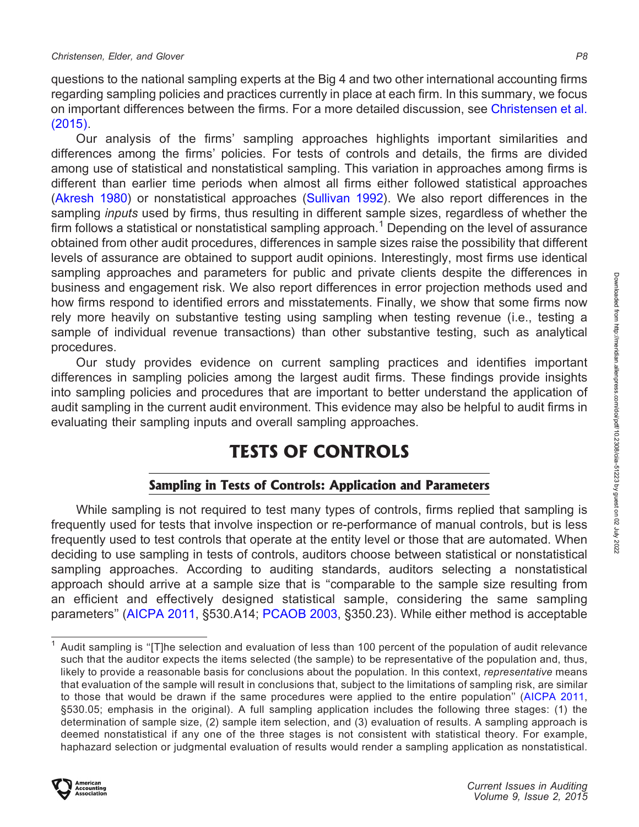questions to the national sampling experts at the Big 4 and two other international accounting firms regarding sampling policies and practices currently in place at each firm. In this summary, we focus on important differences between the firms. For a more detailed discussion, see [Christensen et al.](#page-11-0) [\(2015\).](#page-11-0)

Our analysis of the firms' sampling approaches highlights important similarities and differences among the firms' policies. For tests of controls and details, the firms are divided among use of statistical and nonstatistical sampling. This variation in approaches among firms is different than earlier time periods when almost all firms either followed statistical approaches [\(Akresh 1980](#page-11-0)) or nonstatistical approaches ([Sullivan 1992](#page-11-0)). We also report differences in the sampling inputs used by firms, thus resulting in different sample sizes, regardless of whether the firm follows a statistical or nonstatistical sampling approach.<sup>1</sup> Depending on the level of assurance obtained from other audit procedures, differences in sample sizes raise the possibility that different levels of assurance are obtained to support audit opinions. Interestingly, most firms use identical sampling approaches and parameters for public and private clients despite the differences in business and engagement risk. We also report differences in error projection methods used and how firms respond to identified errors and misstatements. Finally, we show that some firms now rely more heavily on substantive testing using sampling when testing revenue (i.e., testing a sample of individual revenue transactions) than other substantive testing, such as analytical procedures.

Our study provides evidence on current sampling practices and identifies important differences in sampling policies among the largest audit firms. These findings provide insights into sampling policies and procedures that are important to better understand the application of audit sampling in the current audit environment. This evidence may also be helpful to audit firms in evaluating their sampling inputs and overall sampling approaches.

# TESTS OF CONTROLS

### Sampling in Tests of Controls: Application and Parameters

While sampling is not required to test many types of controls, firms replied that sampling is frequently used for tests that involve inspection or re-performance of manual controls, but is less frequently used to test controls that operate at the entity level or those that are automated. When deciding to use sampling in tests of controls, auditors choose between statistical or nonstatistical sampling approaches. According to auditing standards, auditors selecting a nonstatistical approach should arrive at a sample size that is ''comparable to the sample size resulting from an efficient and effectively designed statistical sample, considering the same sampling parameters'' [\(AICPA 2011](#page-11-0), §530.A14; [PCAOB 2003](#page-11-0), §350.23). While either method is acceptable

Audit sampling is "[T]he selection and evaluation of less than 100 percent of the population of audit relevance such that the auditor expects the items selected (the sample) to be representative of the population and, thus, likely to provide a reasonable basis for conclusions about the population. In this context, representative means that evaluation of the sample will result in conclusions that, subject to the limitations of sampling risk, are similar to those that would be drawn if the same procedures were applied to the entire population'' ([AICPA 2011](#page-11-0), §530.05; emphasis in the original). A full sampling application includes the following three stages: (1) the determination of sample size, (2) sample item selection, and (3) evaluation of results. A sampling approach is deemed nonstatistical if any one of the three stages is not consistent with statistical theory. For example, haphazard selection or judgmental evaluation of results would render a sampling application as nonstatistical.

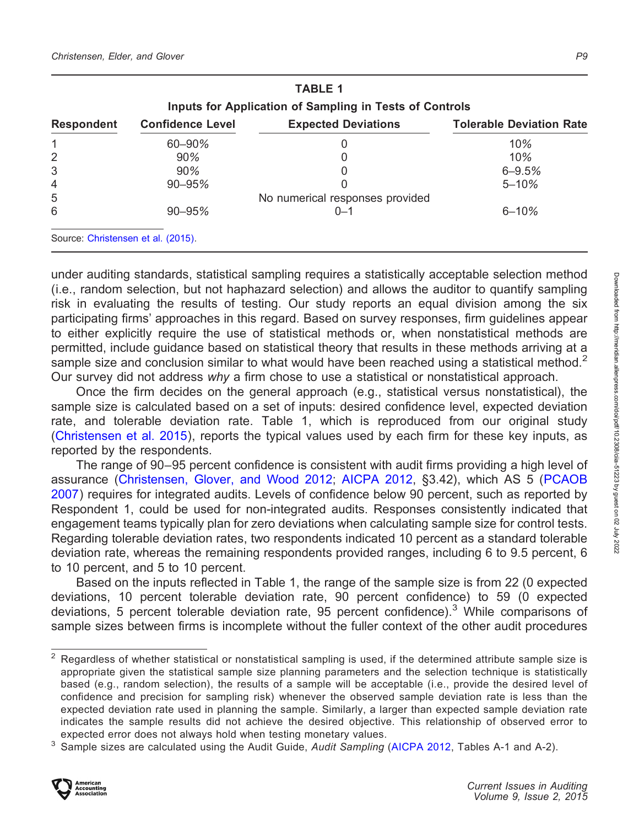|                                    |                         | <b>TABLE 1</b><br><b>Inputs for Application of Sampling in Tests of Controls</b> |                                 |
|------------------------------------|-------------------------|----------------------------------------------------------------------------------|---------------------------------|
| <b>Respondent</b>                  | <b>Confidence Level</b> | <b>Expected Deviations</b>                                                       | <b>Tolerable Deviation Rate</b> |
|                                    | 60-90%                  |                                                                                  | 10%                             |
| $\overline{2}$                     | 90%                     |                                                                                  | 10%                             |
| 3                                  | 90%                     |                                                                                  | $6 - 9.5%$                      |
| $\overline{4}$                     | 90-95%                  |                                                                                  | $5 - 10%$                       |
| 5                                  |                         | No numerical responses provided                                                  |                                 |
| 6                                  | 90-95%                  | $0 - 1$                                                                          | $6 - 10%$                       |
| Source: Christensen et al. (2015). |                         |                                                                                  |                                 |

under auditing standards, statistical sampling requires a statistically acceptable selection method (i.e., random selection, but not haphazard selection) and allows the auditor to quantify sampling risk in evaluating the results of testing. Our study reports an equal division among the six participating firms' approaches in this regard. Based on survey responses, firm guidelines appear to either explicitly require the use of statistical methods or, when nonstatistical methods are permitted, include guidance based on statistical theory that results in these methods arriving at a sample size and conclusion similar to what would have been reached using a statistical method.<sup>2</sup> Our survey did not address why a firm chose to use a statistical or nonstatistical approach.

Once the firm decides on the general approach (e.g., statistical versus nonstatistical), the sample size is calculated based on a set of inputs: desired confidence level, expected deviation rate, and tolerable deviation rate. Table 1, which is reproduced from our original study [\(Christensen et al. 2015](#page-11-0)), reports the typical values used by each firm for these key inputs, as reported by the respondents.

The range of 90–95 percent confidence is consistent with audit firms providing a high level of assurance ([Christensen, Glover, and Wood 2012;](#page-11-0) [AICPA 2012,](#page-11-0) §3.42), which AS 5 ([PCAOB](#page-11-0) [2007](#page-11-0)) requires for integrated audits. Levels of confidence below 90 percent, such as reported by Respondent 1, could be used for non-integrated audits. Responses consistently indicated that engagement teams typically plan for zero deviations when calculating sample size for control tests. Regarding tolerable deviation rates, two respondents indicated 10 percent as a standard tolerable deviation rate, whereas the remaining respondents provided ranges, including 6 to 9.5 percent, 6 to 10 percent, and 5 to 10 percent.

Based on the inputs reflected in Table 1, the range of the sample size is from 22 (0 expected deviations, 10 percent tolerable deviation rate, 90 percent confidence) to 59 (0 expected deviations, 5 percent tolerable deviation rate, 95 percent confidence).<sup>3</sup> While comparisons of sample sizes between firms is incomplete without the fuller context of the other audit procedures

 $2$  Regardless of whether statistical or nonstatistical sampling is used, if the determined attribute sample size is appropriate given the statistical sample size planning parameters and the selection technique is statistically based (e.g., random selection), the results of a sample will be acceptable (i.e., provide the desired level of confidence and precision for sampling risk) whenever the observed sample deviation rate is less than the expected deviation rate used in planning the sample. Similarly, a larger than expected sample deviation rate indicates the sample results did not achieve the desired objective. This relationship of observed error to expected error does not always hold when testing monetary values.

Sample sizes are calculated using the Audit Guide, Audit Sampling ([AICPA 2012](#page-11-0), Tables A-1 and A-2).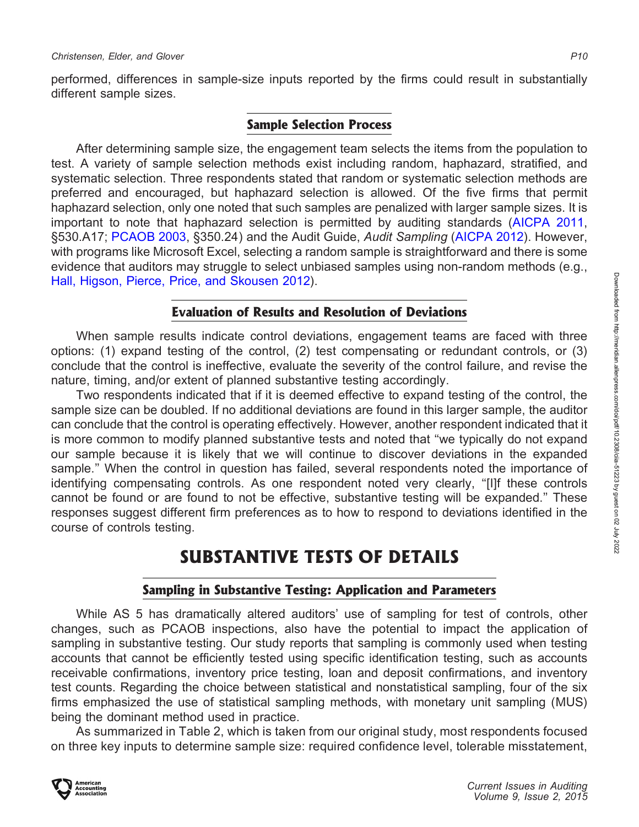performed, differences in sample-size inputs reported by the firms could result in substantially different sample sizes.

#### Sample Selection Process

After determining sample size, the engagement team selects the items from the population to test. A variety of sample selection methods exist including random, haphazard, stratified, and systematic selection. Three respondents stated that random or systematic selection methods are preferred and encouraged, but haphazard selection is allowed. Of the five firms that permit haphazard selection, only one noted that such samples are penalized with larger sample sizes. It is important to note that haphazard selection is permitted by auditing standards [\(AICPA 2011,](#page-11-0) §530.A17; [PCAOB 2003](#page-11-0), §350.24) and the Audit Guide, Audit Sampling [\(AICPA 2012](#page-11-0)). However, with programs like Microsoft Excel, selecting a random sample is straightforward and there is some evidence that auditors may struggle to select unbiased samples using non-random methods (e.g., [Hall, Higson, Pierce, Price, and Skousen 2012](#page-11-0)).

#### Evaluation of Results and Resolution of Deviations

When sample results indicate control deviations, engagement teams are faced with three options: (1) expand testing of the control, (2) test compensating or redundant controls, or (3) conclude that the control is ineffective, evaluate the severity of the control failure, and revise the nature, timing, and/or extent of planned substantive testing accordingly.

Two respondents indicated that if it is deemed effective to expand testing of the control, the sample size can be doubled. If no additional deviations are found in this larger sample, the auditor can conclude that the control is operating effectively. However, another respondent indicated that it is more common to modify planned substantive tests and noted that ''we typically do not expand our sample because it is likely that we will continue to discover deviations in the expanded sample.'' When the control in question has failed, several respondents noted the importance of identifying compensating controls. As one respondent noted very clearly, ''[I]f these controls cannot be found or are found to not be effective, substantive testing will be expanded.'' These responses suggest different firm preferences as to how to respond to deviations identified in the course of controls testing.

# SUBSTANTIVE TESTS OF DETAILS

#### Sampling in Substantive Testing: Application and Parameters

While AS 5 has dramatically altered auditors' use of sampling for test of controls, other changes, such as PCAOB inspections, also have the potential to impact the application of sampling in substantive testing. Our study reports that sampling is commonly used when testing accounts that cannot be efficiently tested using specific identification testing, such as accounts receivable confirmations, inventory price testing, loan and deposit confirmations, and inventory test counts. Regarding the choice between statistical and nonstatistical sampling, four of the six firms emphasized the use of statistical sampling methods, with monetary unit sampling (MUS) being the dominant method used in practice.

As summarized in Table 2, which is taken from our original study, most respondents focused on three key inputs to determine sample size: required confidence level, tolerable misstatement,

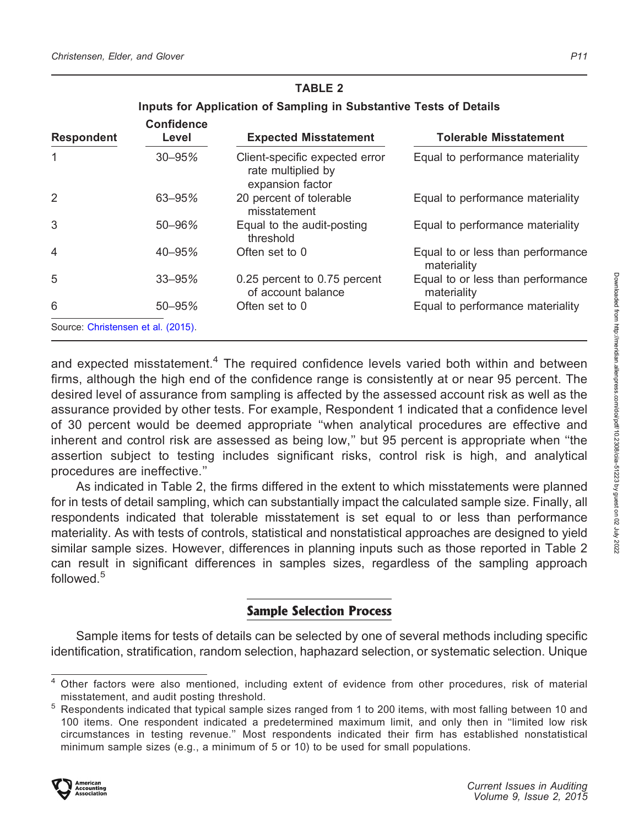# TABLE 2

#### Inputs for Application of Sampling in Substantive Tests of Details **Confidence**

| <b>Respondent</b>                  | <b>UUIIIUUIIUU</b><br>Level | <b>Expected Misstatement</b>                                             | <b>Tolerable Misstatement</b>                    |
|------------------------------------|-----------------------------|--------------------------------------------------------------------------|--------------------------------------------------|
| 1                                  | $30 - 95%$                  | Client-specific expected error<br>rate multiplied by<br>expansion factor | Equal to performance materiality                 |
| 2                                  | $63 - 95%$                  | 20 percent of tolerable<br>misstatement                                  | Equal to performance materiality                 |
| 3                                  | $50 - 96\%$                 | Equal to the audit-posting<br>threshold                                  | Equal to performance materiality                 |
| $\overline{4}$                     | 40-95%                      | Often set to 0                                                           | Equal to or less than performance<br>materiality |
| 5                                  | $33 - 95%$                  | 0.25 percent to 0.75 percent<br>of account balance                       | Equal to or less than performance<br>materiality |
| 6                                  | $50 - 95%$                  | Often set to 0                                                           | Equal to performance materiality                 |
| Source: Christensen et al. (2015). |                             |                                                                          |                                                  |

and expected misstatement.<sup>4</sup> The required confidence levels varied both within and between firms, although the high end of the confidence range is consistently at or near 95 percent. The desired level of assurance from sampling is affected by the assessed account risk as well as the assurance provided by other tests. For example, Respondent 1 indicated that a confidence level of 30 percent would be deemed appropriate ''when analytical procedures are effective and inherent and control risk are assessed as being low," but 95 percent is appropriate when "the assertion subject to testing includes significant risks, control risk is high, and analytical procedures are ineffective.''

As indicated in Table 2, the firms differed in the extent to which misstatements were planned for in tests of detail sampling, which can substantially impact the calculated sample size. Finally, all respondents indicated that tolerable misstatement is set equal to or less than performance materiality. As with tests of controls, statistical and nonstatistical approaches are designed to yield similar sample sizes. However, differences in planning inputs such as those reported in Table 2 can result in significant differences in samples sizes, regardless of the sampling approach followed.<sup>5</sup>

#### Sample Selection Process

Sample items for tests of details can be selected by one of several methods including specific identification, stratification, random selection, haphazard selection, or systematic selection. Unique

<sup>&</sup>lt;sup>5</sup> Respondents indicated that typical sample sizes ranged from 1 to 200 items, with most falling between 10 and 100 items. One respondent indicated a predetermined maximum limit, and only then in ''limited low risk circumstances in testing revenue.'' Most respondents indicated their firm has established nonstatistical minimum sample sizes (e.g., a minimum of 5 or 10) to be used for small populations.



Other factors were also mentioned, including extent of evidence from other procedures, risk of material misstatement, and audit posting threshold.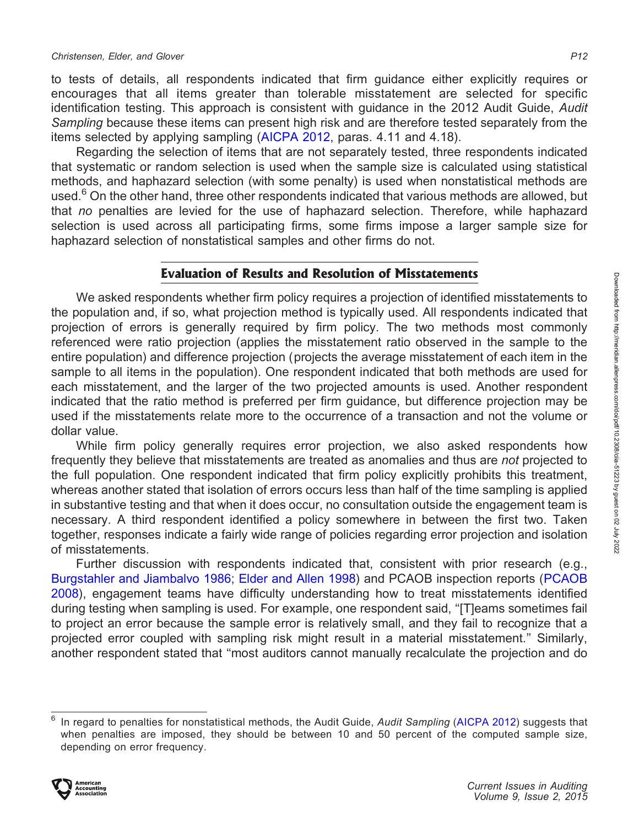to tests of details, all respondents indicated that firm guidance either explicitly requires or encourages that all items greater than tolerable misstatement are selected for specific identification testing. This approach is consistent with guidance in the 2012 Audit Guide, Audit Sampling because these items can present high risk and are therefore tested separately from the items selected by applying sampling [\(AICPA 2012,](#page-11-0) paras. 4.11 and 4.18).

Regarding the selection of items that are not separately tested, three respondents indicated that systematic or random selection is used when the sample size is calculated using statistical methods, and haphazard selection (with some penalty) is used when nonstatistical methods are used.<sup>6</sup> On the other hand, three other respondents indicated that various methods are allowed, but that no penalties are levied for the use of haphazard selection. Therefore, while haphazard selection is used across all participating firms, some firms impose a larger sample size for haphazard selection of nonstatistical samples and other firms do not.

#### Evaluation of Results and Resolution of Misstatements

We asked respondents whether firm policy requires a projection of identified misstatements to the population and, if so, what projection method is typically used. All respondents indicated that projection of errors is generally required by firm policy. The two methods most commonly referenced were ratio projection (applies the misstatement ratio observed in the sample to the entire population) and difference projection (projects the average misstatement of each item in the sample to all items in the population). One respondent indicated that both methods are used for each misstatement, and the larger of the two projected amounts is used. Another respondent indicated that the ratio method is preferred per firm guidance, but difference projection may be used if the misstatements relate more to the occurrence of a transaction and not the volume or dollar value.

While firm policy generally requires error projection, we also asked respondents how frequently they believe that misstatements are treated as anomalies and thus are not projected to the full population. One respondent indicated that firm policy explicitly prohibits this treatment, whereas another stated that isolation of errors occurs less than half of the time sampling is applied in substantive testing and that when it does occur, no consultation outside the engagement team is necessary. A third respondent identified a policy somewhere in between the first two. Taken together, responses indicate a fairly wide range of policies regarding error projection and isolation of misstatements.

Further discussion with respondents indicated that, consistent with prior research (e.g., [Burgstahler and Jiambalvo 1986;](#page-11-0) [Elder and Allen 1998](#page-11-0)) and PCAOB inspection reports ([PCAOB](#page-11-0) [2008](#page-11-0)), engagement teams have difficulty understanding how to treat misstatements identified during testing when sampling is used. For example, one respondent said, ''[T]eams sometimes fail to project an error because the sample error is relatively small, and they fail to recognize that a projected error coupled with sampling risk might result in a material misstatement.'' Similarly, another respondent stated that ''most auditors cannot manually recalculate the projection and do

 $6$  In regard to penalties for nonstatistical methods, the Audit Guide, Audit Sampling ([AICPA 2012\)](#page-11-0) suggests that when penalties are imposed, they should be between 10 and 50 percent of the computed sample size, depending on error frequency.

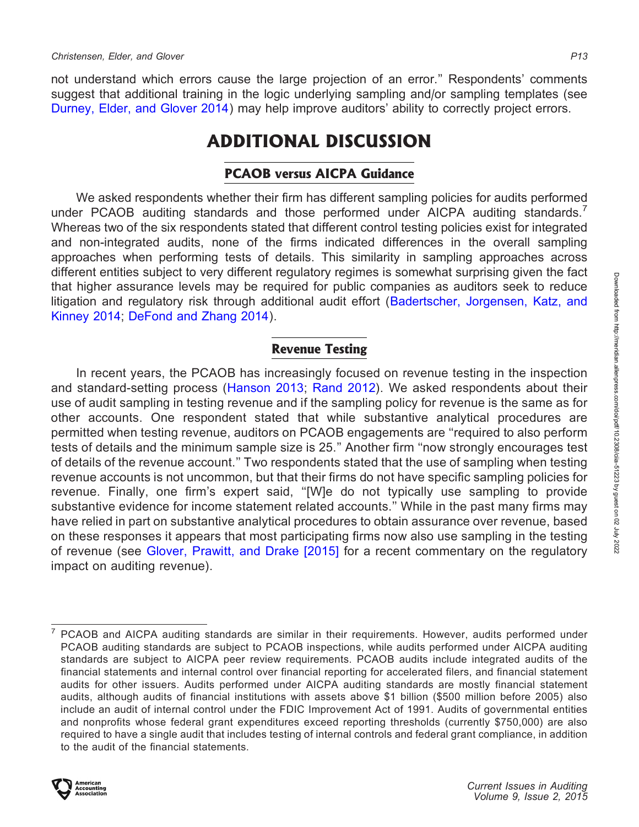not understand which errors cause the large projection of an error.'' Respondents' comments suggest that additional training in the logic underlying sampling and/or sampling templates (see [Durney, Elder, and Glover 2014](#page-11-0)) may help improve auditors' ability to correctly project errors.

# ADDITIONAL DISCUSSION

#### PCAOB versus AICPA Guidance

We asked respondents whether their firm has different sampling policies for audits performed under PCAOB auditing standards and those performed under AICPA auditing standards.<sup>7</sup> Whereas two of the six respondents stated that different control testing policies exist for integrated and non-integrated audits, none of the firms indicated differences in the overall sampling approaches when performing tests of details. This similarity in sampling approaches across different entities subject to very different regulatory regimes is somewhat surprising given the fact that higher assurance levels may be required for public companies as auditors seek to reduce litigation and regulatory risk through additional audit effort ([Badertscher, Jorgensen, Katz, and](#page-11-0) [Kinney 2014;](#page-11-0) [DeFond and Zhang 2014](#page-11-0)).

#### Revenue Testing

In recent years, the PCAOB has increasingly focused on revenue testing in the inspection and standard-setting process ([Hanson 2013](#page-11-0); [Rand 2012](#page-11-0)). We asked respondents about their use of audit sampling in testing revenue and if the sampling policy for revenue is the same as for other accounts. One respondent stated that while substantive analytical procedures are permitted when testing revenue, auditors on PCAOB engagements are ''required to also perform tests of details and the minimum sample size is 25.'' Another firm ''now strongly encourages test of details of the revenue account.'' Two respondents stated that the use of sampling when testing revenue accounts is not uncommon, but that their firms do not have specific sampling policies for revenue. Finally, one firm's expert said, ''[W]e do not typically use sampling to provide substantive evidence for income statement related accounts.'' While in the past many firms may have relied in part on substantive analytical procedures to obtain assurance over revenue, based on these responses it appears that most participating firms now also use sampling in the testing of revenue (see [Glover, Prawitt, and Drake \[2015\]](#page-11-0) for a recent commentary on the regulatory impact on auditing revenue).

 $7$  PCAOB and AICPA auditing standards are similar in their requirements. However, audits performed under PCAOB auditing standards are subject to PCAOB inspections, while audits performed under AICPA auditing standards are subject to AICPA peer review requirements. PCAOB audits include integrated audits of the financial statements and internal control over financial reporting for accelerated filers, and financial statement audits for other issuers. Audits performed under AICPA auditing standards are mostly financial statement audits, although audits of financial institutions with assets above \$1 billion (\$500 million before 2005) also include an audit of internal control under the FDIC Improvement Act of 1991. Audits of governmental entities and nonprofits whose federal grant expenditures exceed reporting thresholds (currently \$750,000) are also required to have a single audit that includes testing of internal controls and federal grant compliance, in addition to the audit of the financial statements.

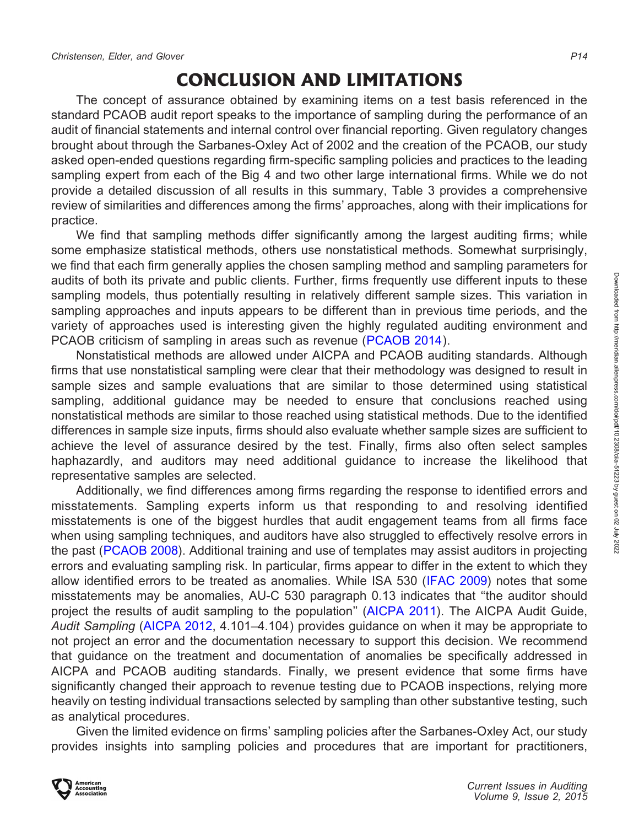# CONCLUSION AND LIMITATIONS

The concept of assurance obtained by examining items on a test basis referenced in the standard PCAOB audit report speaks to the importance of sampling during the performance of an audit of financial statements and internal control over financial reporting. Given regulatory changes brought about through the Sarbanes-Oxley Act of 2002 and the creation of the PCAOB, our study asked open-ended questions regarding firm-specific sampling policies and practices to the leading sampling expert from each of the Big 4 and two other large international firms. While we do not provide a detailed discussion of all results in this summary, Table 3 provides a comprehensive review of similarities and differences among the firms' approaches, along with their implications for practice.

We find that sampling methods differ significantly among the largest auditing firms; while some emphasize statistical methods, others use nonstatistical methods. Somewhat surprisingly, we find that each firm generally applies the chosen sampling method and sampling parameters for audits of both its private and public clients. Further, firms frequently use different inputs to these sampling models, thus potentially resulting in relatively different sample sizes. This variation in sampling approaches and inputs appears to be different than in previous time periods, and the variety of approaches used is interesting given the highly regulated auditing environment and PCAOB criticism of sampling in areas such as revenue [\(PCAOB 2014](#page-11-0)).

Nonstatistical methods are allowed under AICPA and PCAOB auditing standards. Although firms that use nonstatistical sampling were clear that their methodology was designed to result in sample sizes and sample evaluations that are similar to those determined using statistical sampling, additional guidance may be needed to ensure that conclusions reached using nonstatistical methods are similar to those reached using statistical methods. Due to the identified differences in sample size inputs, firms should also evaluate whether sample sizes are sufficient to achieve the level of assurance desired by the test. Finally, firms also often select samples haphazardly, and auditors may need additional guidance to increase the likelihood that representative samples are selected.

Additionally, we find differences among firms regarding the response to identified errors and misstatements. Sampling experts inform us that responding to and resolving identified misstatements is one of the biggest hurdles that audit engagement teams from all firms face when using sampling techniques, and auditors have also struggled to effectively resolve errors in the past ([PCAOB 2008\)](#page-11-0). Additional training and use of templates may assist auditors in projecting errors and evaluating sampling risk. In particular, firms appear to differ in the extent to which they allow identified errors to be treated as anomalies. While ISA 530 ([IFAC 2009](#page-11-0)) notes that some misstatements may be anomalies, AU-C 530 paragraph 0.13 indicates that ''the auditor should project the results of audit sampling to the population" ([AICPA 2011\)](#page-11-0). The AICPA Audit Guide, Audit Sampling [\(AICPA 2012,](#page-11-0) 4.101–4.104) provides guidance on when it may be appropriate to not project an error and the documentation necessary to support this decision. We recommend that guidance on the treatment and documentation of anomalies be specifically addressed in AICPA and PCAOB auditing standards. Finally, we present evidence that some firms have significantly changed their approach to revenue testing due to PCAOB inspections, relying more heavily on testing individual transactions selected by sampling than other substantive testing, such as analytical procedures.

Given the limited evidence on firms' sampling policies after the Sarbanes-Oxley Act, our study provides insights into sampling policies and procedures that are important for practitioners,

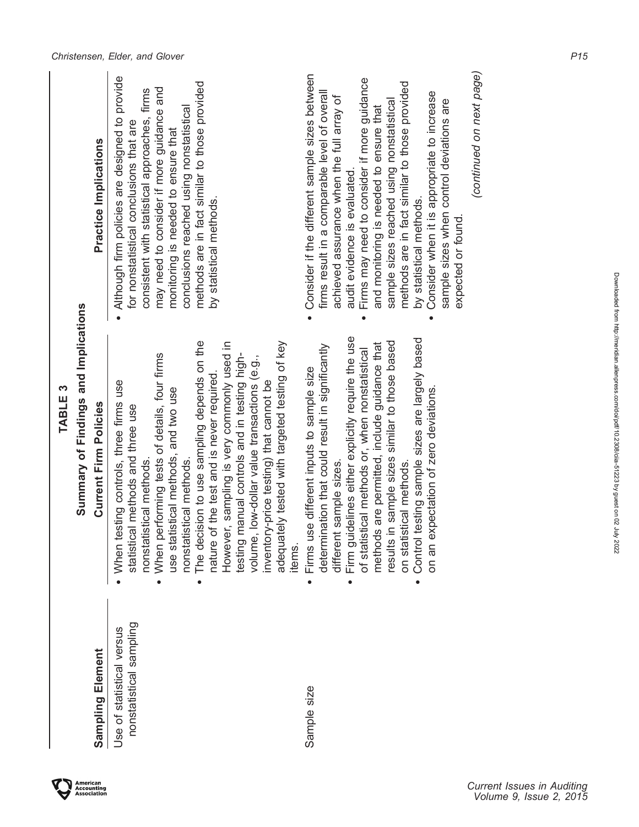|                                                      | TABLE <sub>3</sub>                                                                                                                                                                                                                                                                                                                                                                                                                                                                                                                                                                |                                                                                                                                                                                                                                                                                                                                                                                                                                                                                                                                                |
|------------------------------------------------------|-----------------------------------------------------------------------------------------------------------------------------------------------------------------------------------------------------------------------------------------------------------------------------------------------------------------------------------------------------------------------------------------------------------------------------------------------------------------------------------------------------------------------------------------------------------------------------------|------------------------------------------------------------------------------------------------------------------------------------------------------------------------------------------------------------------------------------------------------------------------------------------------------------------------------------------------------------------------------------------------------------------------------------------------------------------------------------------------------------------------------------------------|
|                                                      | Summary of Findings and Implications                                                                                                                                                                                                                                                                                                                                                                                                                                                                                                                                              |                                                                                                                                                                                                                                                                                                                                                                                                                                                                                                                                                |
| Sampling Element                                     | <b>Current Firm Policies</b>                                                                                                                                                                                                                                                                                                                                                                                                                                                                                                                                                      | Practice Implications                                                                                                                                                                                                                                                                                                                                                                                                                                                                                                                          |
| nonstatistical sampling<br>Use of statistical versus | The decision to use sampling depends on the<br>However, sampling is very commonly used in<br>adequately tested with targeted testing of key<br>When performing tests of details, four firms<br>manual controls and in testing high-<br>volume, low-dollar value transactions (e.g.,<br>nature of the test and is never required.<br>esting controls, three firms use<br>inventory-price testing) that cannot be<br>use statistical methods, and two use<br>statistical methods and three use<br>nonstatistical methods.<br>nonstatistical methods.<br>When t<br>testing<br>items. | Although firm policies are designed to provide<br>methods are in fact similar to those provided<br>may need to consider if more guidance and<br>consistent with statistical approaches, firms<br>conclusions reached using nonstatistical<br>for nonstatistical conclusions that are<br>monitoring is needed to ensure that<br>by statistical methods.                                                                                                                                                                                         |
| Sample size                                          | Firm guidelines either explicitly require the use<br>testing sample sizes are largely based<br>results in sample sizes similar to those based<br>methods are permitted, include guidance that<br>determination that could result in significantly<br>of statistical methods or, when nonstatistical<br>Firms use different inputs to sample size<br>on an expectation of zero deviations<br>different sample sizes.<br>on statistical methods.<br>Control                                                                                                                         | (continued on next page)<br>• Consider if the different sample sizes between<br>Firms may need to consider if more guidance<br>methods are in fact similar to those provided<br>firms result in a comparable level of overall<br>Consider when it is appropriate to increase<br>achieved assurance when the full array of<br>sample sizes reached using nonstatistical<br>sample sizes when control deviations are<br>and monitoring is needed to ensure that<br>audit evidence is evaluated.<br>by statistical methods.<br>expected or found. |

American<br>Accounting<br>Association

Current Issues in Auditing Volume 9, Issue 2, 2015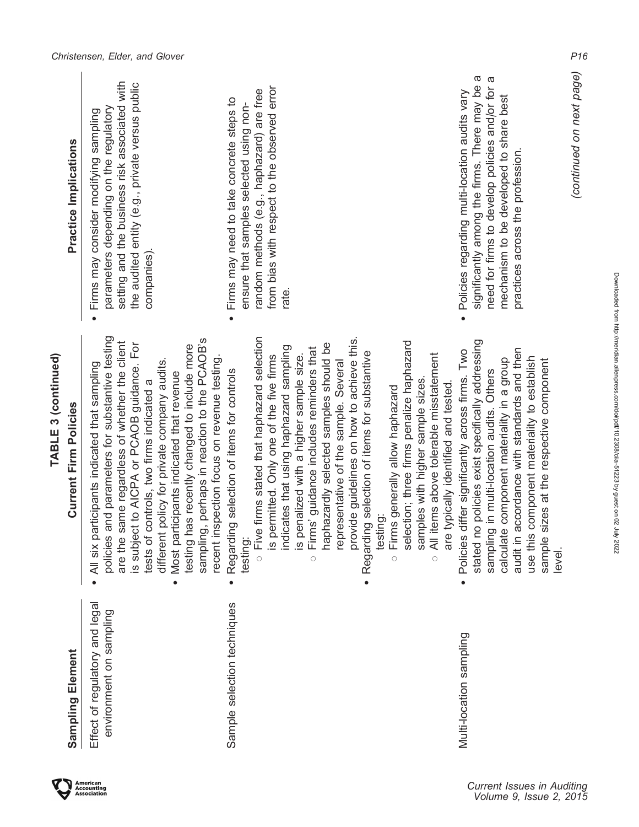|                                                           | TABLE 3 (continued)                                                                                                                                                                                                                                                                                                                                                                                                                                                                                                                                                                                                                                                                                              |                                                                                                                                                                                                                                  |
|-----------------------------------------------------------|------------------------------------------------------------------------------------------------------------------------------------------------------------------------------------------------------------------------------------------------------------------------------------------------------------------------------------------------------------------------------------------------------------------------------------------------------------------------------------------------------------------------------------------------------------------------------------------------------------------------------------------------------------------------------------------------------------------|----------------------------------------------------------------------------------------------------------------------------------------------------------------------------------------------------------------------------------|
| Sampling Element                                          | <b>Current Firm Policies</b>                                                                                                                                                                                                                                                                                                                                                                                                                                                                                                                                                                                                                                                                                     | Practice Implications                                                                                                                                                                                                            |
| Effect of regulatory and legal<br>environment on sampling | and parameters for substantive testing<br>sampling, perhaps in reaction to the PCAOB's<br>same regardless of whether the client<br>is subject to AICPA or PCAOB guidance. For<br>has recently changed to include more<br>inspection focus on revenue testing.<br>different policy for private company audits.<br>articipants indicated that sampling<br>Most participants indicated that revenue<br>tests of controls, two firms indicated a<br>All six pr<br>policies<br>are the<br>recent in<br>testing<br>$\bullet$                                                                                                                                                                                           | setting and the business risk associated with<br>the audited entity (e.g., private versus public<br>parameters depending on the regulatory<br>Firms may consider modifying sampling<br>companies).<br>$\bullet$                  |
| Sample selection techniques                               | $\circ$ Five firms stated that haphazard selection<br>provide guidelines on how to achieve this.<br>selection; three firms penalize haphazard<br>haphazardly selected samples should be<br>is permitted. Only one of the five firms<br>indicates that using haphazard sampling<br>is penalized with a higher sample size.<br>Firms' guidance includes reminders that<br>Regarding selection of items for substantive<br>$\circ$ All items above tolerable misstatement<br>representative of the sample. Several<br>Regarding selection of items for controls<br>samples with higher sample sizes<br>are typically identified and tested.<br>o Firms generally allow haphazard<br>testing:<br>testing:<br>$\circ$ | from bias with respect to the observed error<br>random methods (e.g., haphazard) are free<br>Firms may need to take concrete steps to<br>ensure that samples selected using non-<br>rate.<br>$\bullet$                           |
| Multi-location sampling                                   | stated no policies exist specifically addressing<br>accordance with standards and then<br>Policies differ significantly across firms. Two<br>use this component materiality to establish<br>calculate component materiality in a group<br>sizes at the respective component<br>sampling in multi-location audits. Others<br>audit in<br>sample                                                                                                                                                                                                                                                                                                                                                                   | significantly among the firms. There may be a<br>need for firms to develop policies and/or for a<br>Policies regarding multi-location audits vary<br>mechanism to be developed to share best<br>practices across the profession. |

**American<br>Accounting<br>Association** 

level.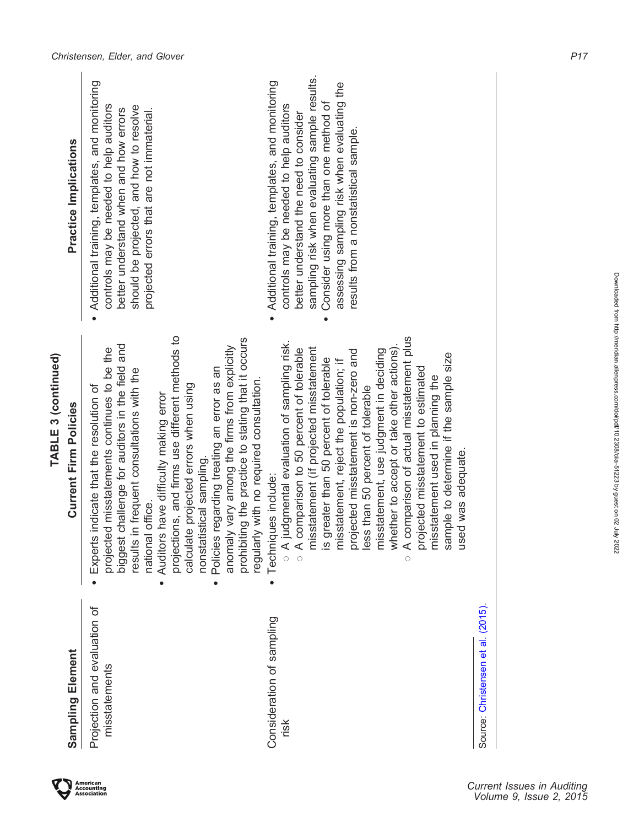|                                               | TABLE 3 (continued)                                                                                                                                                                                                                                                                                                                                                                                                                                                                                                                                                                                                                            |                                                                                                                                                                                                                                                                                                                          |
|-----------------------------------------------|------------------------------------------------------------------------------------------------------------------------------------------------------------------------------------------------------------------------------------------------------------------------------------------------------------------------------------------------------------------------------------------------------------------------------------------------------------------------------------------------------------------------------------------------------------------------------------------------------------------------------------------------|--------------------------------------------------------------------------------------------------------------------------------------------------------------------------------------------------------------------------------------------------------------------------------------------------------------------------|
| Sampling Element                              | <b>Current Firm Policies</b>                                                                                                                                                                                                                                                                                                                                                                                                                                                                                                                                                                                                                   | Practice Implications                                                                                                                                                                                                                                                                                                    |
| Projection and evaluation of<br>misstatements | projections, and firms use different methods to<br>prohibiting the practice to stating that it occurs<br>biggest challenge for auditors in the field and<br>anomaly vary among the firms from explicitly<br>projected misstatements continues to be the<br>Policies regarding treating an error as an<br>results in frequent consultations with the<br>regularly with no required consultation.<br>calculate projected errors when using<br>Experts indicate that the resolution of<br>Auditors have difficulty making error<br>nonstatistical sampling.<br>national office.                                                                   | Additional training, templates, and monitoring<br>controls may be needed to help auditors<br>should be projected, and how to resolve<br>better understand when and how errors<br>projected errors that are not immaterial.                                                                                               |
| Consideration of sampling<br>risk             | A comparison of actual misstatement plus<br>A judgmental evaluation of sampling risk.<br>A comparison to 50 percent of tolerable<br>misstatement (if projected misstatement<br>is greater than 50 percent of tolerable<br>whether to accept or take other actions).<br>misstatement, use judgment in deciding<br>projected misstatement is non-zero and<br>less than 50 percent of tolerable<br>sample to determine if the sample size<br>misstatement, reject the population; if<br>projected misstatement to estimated<br>misstatement used in planning the<br>used was adequate.<br>Techniques include:<br>$\bigcirc$<br>$\circ$<br>$\circ$ | sampling risk when evaluating sample results.<br>· Additional training, templates, and monitoring<br>assessing sampling risk when evaluating the<br>Consider using more than one method of<br>controls may be needed to help auditors<br>better understand the need to consider<br>results from a nonstatistical sample. |

Source: Christensen et al. (2015). Source: [Christensen](#page-11-0) et al. (2015).

American<br>Accounting<br>Association